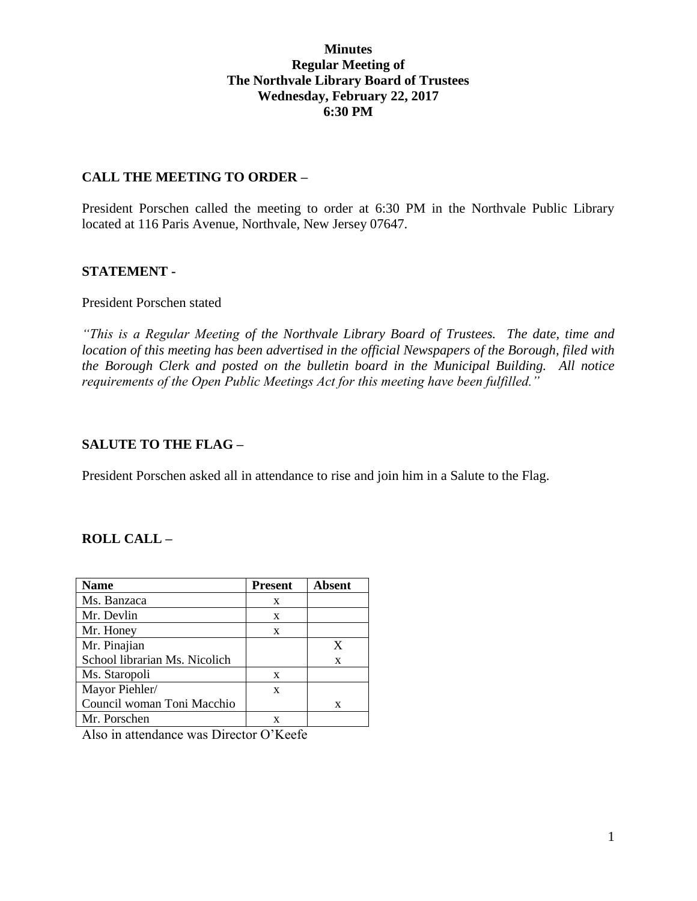#### **Minutes Regular Meeting of The Northvale Library Board of Trustees Wednesday, February 22, 2017 6:30 PM**

#### **CALL THE MEETING TO ORDER –**

President Porschen called the meeting to order at 6:30 PM in the Northvale Public Library located at 116 Paris Avenue, Northvale, New Jersey 07647.

#### **STATEMENT -**

#### President Porschen stated

*"This is a Regular Meeting of the Northvale Library Board of Trustees. The date, time and location of this meeting has been advertised in the official Newspapers of the Borough, filed with the Borough Clerk and posted on the bulletin board in the Municipal Building. All notice requirements of the Open Public Meetings Act for this meeting have been fulfilled."* 

## **SALUTE TO THE FLAG –**

President Porschen asked all in attendance to rise and join him in a Salute to the Flag.

## **ROLL CALL –**

| Name                          | <b>Present</b> | <b>Absent</b> |
|-------------------------------|----------------|---------------|
| Ms. Banzaca                   | X              |               |
| Mr. Devlin                    | X              |               |
| Mr. Honey                     | X              |               |
| Mr. Pinajian                  |                | X             |
| School librarian Ms. Nicolich |                | X             |
| Ms. Staropoli                 | X              |               |
| Mayor Piehler/                | X              |               |
| Council woman Toni Macchio    |                | X             |
| Mr. Porschen                  |                |               |

Also in attendance was Director O'Keefe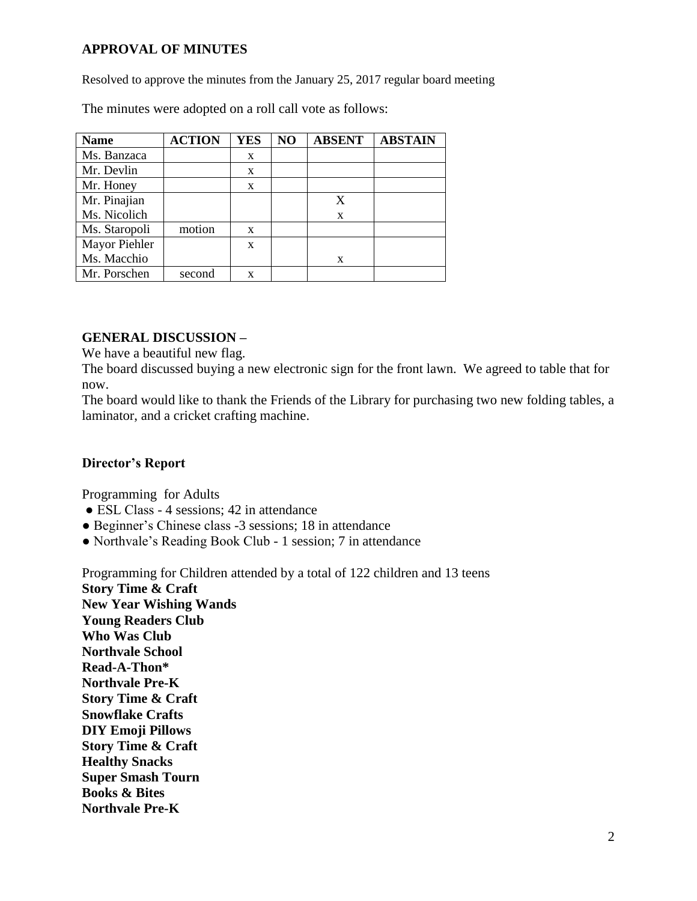# **APPROVAL OF MINUTES**

Resolved to approve the minutes from the January 25, 2017 regular board meeting

The minutes were adopted on a roll call vote as follows:

| <b>Name</b>   | <b>ACTION</b> | <b>YES</b> | NO | <b>ABSENT</b> | <b>ABSTAIN</b> |
|---------------|---------------|------------|----|---------------|----------------|
| Ms. Banzaca   |               | X          |    |               |                |
| Mr. Devlin    |               | X          |    |               |                |
| Mr. Honey     |               | X          |    |               |                |
| Mr. Pinajian  |               |            |    |               |                |
| Ms. Nicolich  |               |            |    | X             |                |
| Ms. Staropoli | motion        | X          |    |               |                |
| Mayor Piehler |               | X          |    |               |                |
| Ms. Macchio   |               |            |    | X             |                |
| Mr. Porschen  | second        | X          |    |               |                |

## **GENERAL DISCUSSION –**

We have a beautiful new flag.

The board discussed buying a new electronic sign for the front lawn. We agreed to table that for now.

The board would like to thank the Friends of the Library for purchasing two new folding tables, a laminator, and a cricket crafting machine.

## **Director's Report**

Programming for Adults

- ESL Class 4 sessions; 42 in attendance
- Beginner's Chinese class -3 sessions; 18 in attendance
- Northvale's Reading Book Club 1 session; 7 in attendance

Programming for Children attended by a total of 122 children and 13 teens **Story Time & Craft New Year Wishing Wands Young Readers Club Who Was Club Northvale School Read-A-Thon\* Northvale Pre-K Story Time & Craft Snowflake Crafts DIY Emoji Pillows Story Time & Craft Healthy Snacks Super Smash Tourn Books & Bites Northvale Pre-K**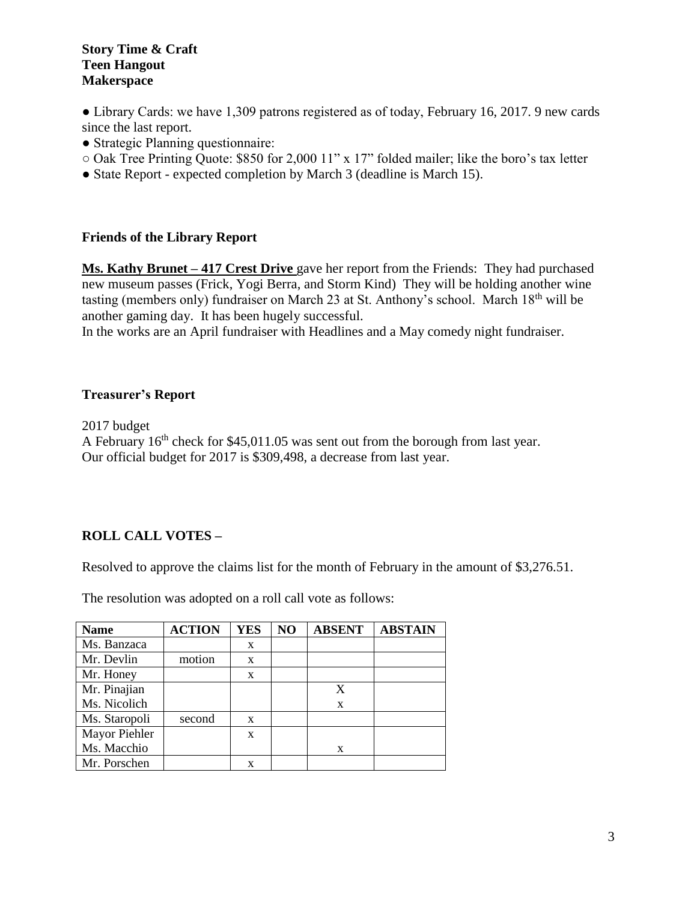#### **Story Time & Craft Teen Hangout Makerspace**

• Library Cards: we have 1,309 patrons registered as of today, February 16, 2017. 9 new cards since the last report.

- Strategic Planning questionnaire:
- Oak Tree Printing Quote: \$850 for 2,000 11" x 17" folded mailer; like the boro's tax letter
- State Report expected completion by March 3 (deadline is March 15).

## **Friends of the Library Report**

**Ms. Kathy Brunet – 417 Crest Drive** gave her report from the Friends: They had purchased new museum passes (Frick, Yogi Berra, and Storm Kind) They will be holding another wine tasting (members only) fundraiser on March 23 at St. Anthony's school. March 18th will be another gaming day. It has been hugely successful.

In the works are an April fundraiser with Headlines and a May comedy night fundraiser.

#### **Treasurer's Report**

2017 budget A February  $16<sup>th</sup>$  check for \$45,011.05 was sent out from the borough from last year. Our official budget for 2017 is \$309,498, a decrease from last year.

## **ROLL CALL VOTES –**

Resolved to approve the claims list for the month of February in the amount of \$3,276.51.

The resolution was adopted on a roll call vote as follows:

| <b>Name</b>   | <b>ACTION</b> | <b>YES</b> | NO | <b>ABSENT</b> | <b>ABSTAIN</b> |
|---------------|---------------|------------|----|---------------|----------------|
| Ms. Banzaca   |               | X          |    |               |                |
| Mr. Devlin    | motion        | X          |    |               |                |
| Mr. Honey     |               | X          |    |               |                |
| Mr. Pinajian  |               |            |    | X             |                |
| Ms. Nicolich  |               |            |    | X             |                |
| Ms. Staropoli | second        | X          |    |               |                |
| Mayor Piehler |               | X          |    |               |                |
| Ms. Macchio   |               |            |    | X             |                |
| Mr. Porschen  |               | x          |    |               |                |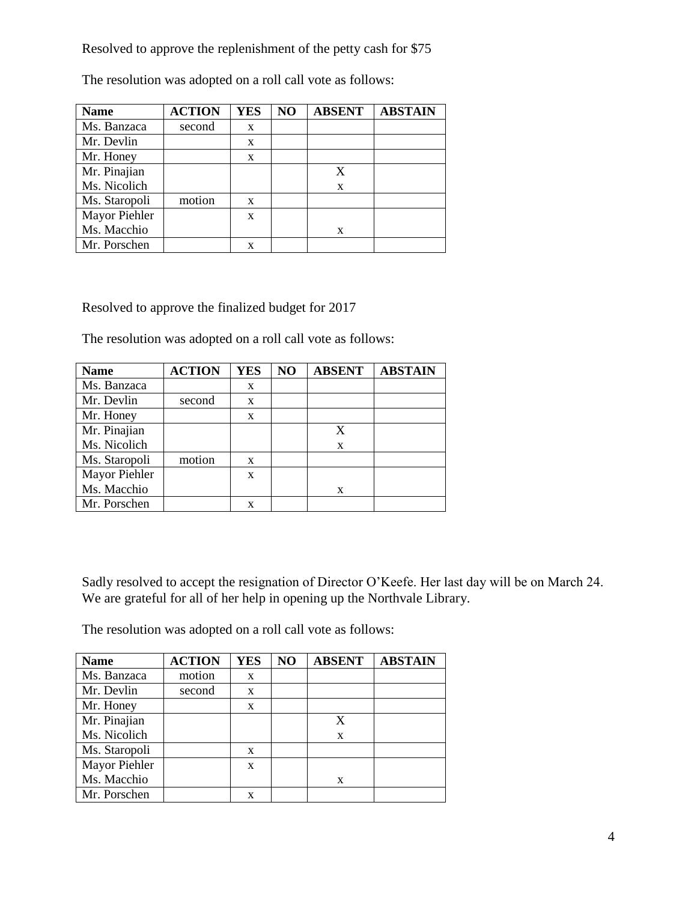Resolved to approve the replenishment of the petty cash for \$75

The resolution was adopted on a roll call vote as follows:

| <b>Name</b>   | <b>ACTION</b> | <b>YES</b> | NO | <b>ABSENT</b> | <b>ABSTAIN</b> |
|---------------|---------------|------------|----|---------------|----------------|
| Ms. Banzaca   | second        | X          |    |               |                |
| Mr. Devlin    |               | X          |    |               |                |
| Mr. Honey     |               | X          |    |               |                |
| Mr. Pinajian  |               |            |    | X             |                |
| Ms. Nicolich  |               |            |    | X             |                |
| Ms. Staropoli | motion        | X          |    |               |                |
| Mayor Piehler |               | X          |    |               |                |
| Ms. Macchio   |               |            |    | X             |                |
| Mr. Porschen  |               |            |    |               |                |

Resolved to approve the finalized budget for 2017

The resolution was adopted on a roll call vote as follows:

| <b>Name</b>   | <b>ACTION</b> | <b>YES</b> | N <sub>O</sub> | <b>ABSENT</b> | <b>ABSTAIN</b> |
|---------------|---------------|------------|----------------|---------------|----------------|
| Ms. Banzaca   |               | X          |                |               |                |
| Mr. Devlin    | second        | X          |                |               |                |
| Mr. Honey     |               | X          |                |               |                |
| Mr. Pinajian  |               |            |                | X             |                |
| Ms. Nicolich  |               |            |                | X             |                |
| Ms. Staropoli | motion        | X          |                |               |                |
| Mayor Piehler |               | X          |                |               |                |
| Ms. Macchio   |               |            |                | X             |                |
| Mr. Porschen  |               | x          |                |               |                |

Sadly resolved to accept the resignation of Director O'Keefe. Her last day will be on March 24. We are grateful for all of her help in opening up the Northvale Library.

The resolution was adopted on a roll call vote as follows:

| <b>Name</b>   | <b>ACTION</b> | <b>YES</b> | NO | <b>ABSENT</b> | <b>ABSTAIN</b> |
|---------------|---------------|------------|----|---------------|----------------|
| Ms. Banzaca   | motion        | X          |    |               |                |
| Mr. Devlin    | second        | X          |    |               |                |
| Mr. Honey     |               | X          |    |               |                |
| Mr. Pinajian  |               |            |    | X             |                |
| Ms. Nicolich  |               |            |    | X             |                |
| Ms. Staropoli |               | X          |    |               |                |
| Mayor Piehler |               | X          |    |               |                |
| Ms. Macchio   |               |            |    | X             |                |
| Mr. Porschen  |               | x          |    |               |                |